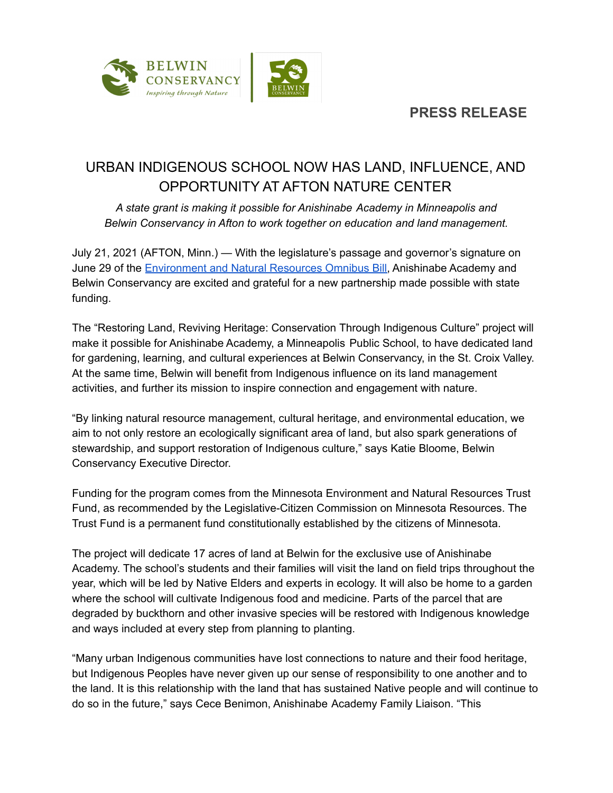

# URBAN INDIGENOUS SCHOOL NOW HAS LAND, INFLUENCE, AND OPPORTUNITY AT AFTON NATURE CENTER

*A state grant is making it possible for Anishinabe Academy in Minneapolis and Belwin Conservancy in Afton to work together on education and land management.*

July 21, 2021 (AFTON, Minn.) — With the legislature's passage and governor's signature on June 29 of the [Environment](https://www.lccmr.leg.mn/projects/2021/2021_appropriations_by_subdivision.html) and Natural Resources Omnibus Bill, Anishinabe Academy and Belwin Conservancy are excited and grateful for a new partnership made possible with state funding.

The "Restoring Land, Reviving Heritage: Conservation Through Indigenous Culture" project will make it possible for Anishinabe Academy, a Minneapolis Public School, to have dedicated land for gardening, learning, and cultural experiences at Belwin Conservancy, in the St. Croix Valley. At the same time, Belwin will benefit from Indigenous influence on its land management activities, and further its mission to inspire connection and engagement with nature.

"By linking natural resource management, cultural heritage, and environmental education, we aim to not only restore an ecologically significant area of land, but also spark generations of stewardship, and support restoration of Indigenous culture," says Katie Bloome, Belwin Conservancy Executive Director.

Funding for the program comes from the Minnesota Environment and Natural Resources Trust Fund, as recommended by the Legislative-Citizen Commission on Minnesota Resources. The Trust Fund is a permanent fund constitutionally established by the citizens of Minnesota.

The project will dedicate 17 acres of land at Belwin for the exclusive use of Anishinabe Academy. The school's students and their families will visit the land on field trips throughout the year, which will be led by Native Elders and experts in ecology. It will also be home to a garden where the school will cultivate Indigenous food and medicine. Parts of the parcel that are degraded by buckthorn and other invasive species will be restored with Indigenous knowledge and ways included at every step from planning to planting.

"Many urban Indigenous communities have lost connections to nature and their food heritage, but Indigenous Peoples have never given up our sense of responsibility to one another and to the land. It is this relationship with the land that has sustained Native people and will continue to do so in the future," says Cece Benimon, Anishinabe Academy Family Liaison. "This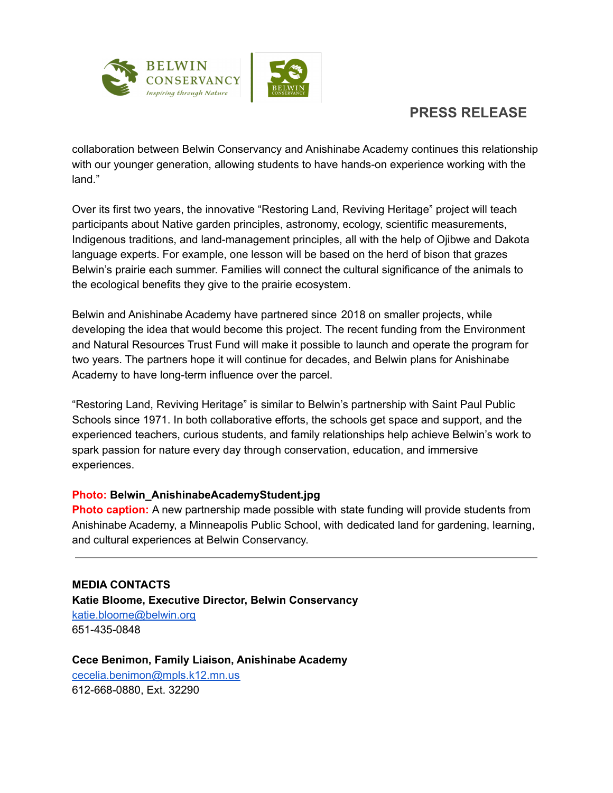

## **PRESS RELEASE**

collaboration between Belwin Conservancy and Anishinabe Academy continues this relationship with our younger generation, allowing students to have hands-on experience working with the land."

Over its first two years, the innovative "Restoring Land, Reviving Heritage" project will teach participants about Native garden principles, astronomy, ecology, scientific measurements, Indigenous traditions, and land-management principles, all with the help of Ojibwe and Dakota language experts. For example, one lesson will be based on the herd of bison that grazes Belwin's prairie each summer. Families will connect the cultural significance of the animals to the ecological benefits they give to the prairie ecosystem.

Belwin and Anishinabe Academy have partnered since 2018 on smaller projects, while developing the idea that would become this project. The recent funding from the Environment and Natural Resources Trust Fund will make it possible to launch and operate the program for two years. The partners hope it will continue for decades, and Belwin plans for Anishinabe Academy to have long-term influence over the parcel.

"Restoring Land, Reviving Heritage" is similar to Belwin's partnership with Saint Paul Public Schools since 1971. In both collaborative efforts, the schools get space and support, and the experienced teachers, curious students, and family relationships help achieve Belwin's work to spark passion for nature every day through conservation, education, and immersive experiences.

#### **Photo: Belwin\_AnishinabeAcademyStudent.jpg**

**Photo caption:** A new partnership made possible with state funding will provide students from Anishinabe Academy, a Minneapolis Public School, with dedicated land for gardening, learning, and cultural experiences at Belwin Conservancy.

**MEDIA CONTACTS Katie Bloome, Executive Director, Belwin Conservancy** [katie.bloome@belwin.org](mailto:katie.bloome@belwin.org) 651-435-0848

**Cece Benimon, Family Liaison, Anishinabe Academy** [cecelia.benimon@mpls.k12.mn.us](mailto:cecelia.benimon@mpls.k12.mn.us) 612-668-0880, Ext. 32290